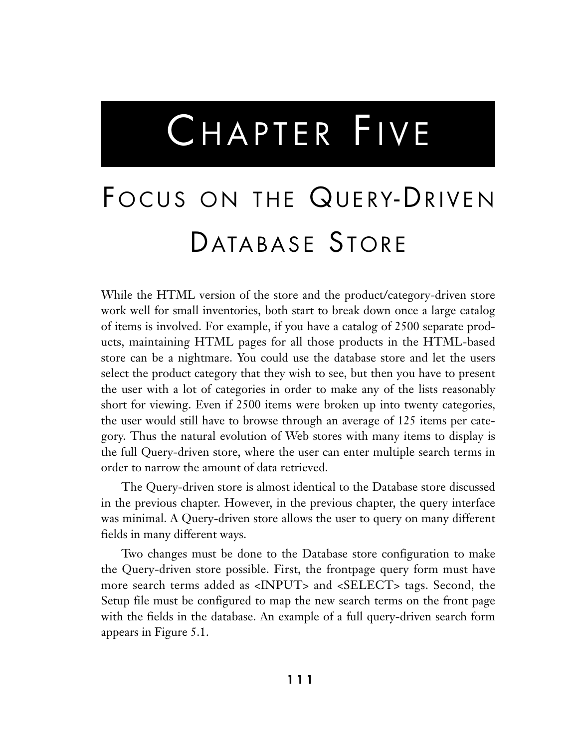# CHAPTER FIVE

# FOCUS ON THE QUERY-DRIVEN DATABASE STORE

While the HTML version of the store and the product/category-driven store work well for small inventories, both start to break down once a large catalog of items is involved. For example, if you have a catalog of 2500 separate products, maintaining HTML pages for all those products in the HTML-based store can be a nightmare. You could use the database store and let the users select the product category that they wish to see, but then you have to present the user with a lot of categories in order to make any of the lists reasonably short for viewing. Even if 2500 items were broken up into twenty categories, the user would still have to browse through an average of 125 items per category. Thus the natural evolution of Web stores with many items to display is the full Query-driven store, where the user can enter multiple search terms in order to narrow the amount of data retrieved.

The Query-driven store is almost identical to the Database store discussed in the previous chapter. However, in the previous chapter, the query interface was minimal. A Query-driven store allows the user to query on many different fields in many different ways.

Two changes must be done to the Database store configuration to make the Query-driven store possible. First, the frontpage query form must have more search terms added as <INPUT> and <SELECT> tags. Second, the Setup file must be configured to map the new search terms on the front page with the fields in the database. An example of a full query-driven search form appears in Figure 5.1.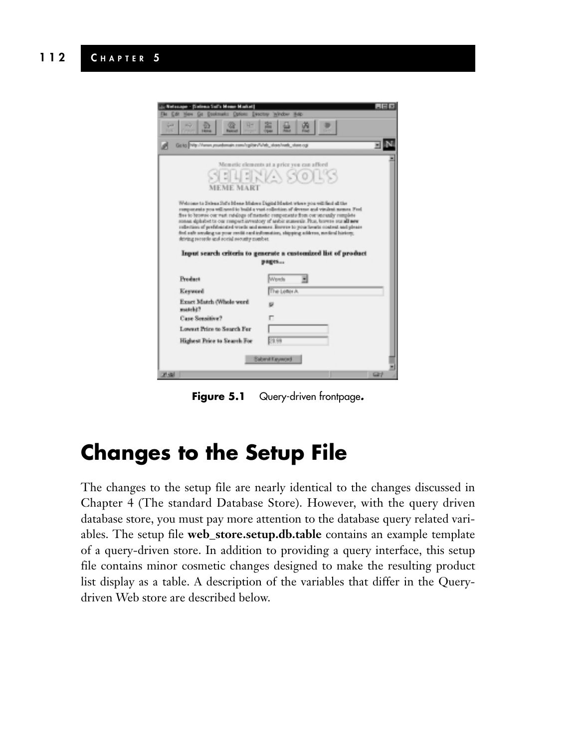| , Netscape - (Selena Sul's Moure Market)<br><b>City</b><br>па<br>aQ.<br><b>Spinist</b><br><b>TOM</b><br><b>Educa</b>                                                                                                                                                                                                                                                                                                                                                                                                                                                                                                                                         | $-10x$<br>Gr Doknak: Oplos: Director Window Mdb<br>寍<br>薀<br>$^{12}$<br>Open |  |
|--------------------------------------------------------------------------------------------------------------------------------------------------------------------------------------------------------------------------------------------------------------------------------------------------------------------------------------------------------------------------------------------------------------------------------------------------------------------------------------------------------------------------------------------------------------------------------------------------------------------------------------------------------------|------------------------------------------------------------------------------|--|
| Gate Vie / Yanan pountmain com/rgilte/Web_stars/rath_stare.og                                                                                                                                                                                                                                                                                                                                                                                                                                                                                                                                                                                                |                                                                              |  |
| <b>MEME MART</b>                                                                                                                                                                                                                                                                                                                                                                                                                                                                                                                                                                                                                                             | Memotic elements at a price you can afford<br>ENENYA SORS                    |  |
| Welcome to Selena Suf's Mente Malows Digital Masket where you will find all the<br>responses pound post of the build a vest collection of diverse and visibat sense. Fed.<br>five to browns our want rubdogs of memotic components from our unceally rumplete<br>sonas aphabet to our respect inventory of arabic sumerals. Plus, howeve surall new<br>reflection of preferented words and memor. Energy to your hearts content and please<br>fed aufr smaking sa your reciti card information, shipping address, medical history,<br>driving records and social security member.<br>Input search criteria to generate a customized list of product<br>pages |                                                                              |  |
| Preshert                                                                                                                                                                                                                                                                                                                                                                                                                                                                                                                                                                                                                                                     | Werds                                                                        |  |
| Kesword                                                                                                                                                                                                                                                                                                                                                                                                                                                                                                                                                                                                                                                      | The Letter A.                                                                |  |
| Exact Match (Whole word<br>match??                                                                                                                                                                                                                                                                                                                                                                                                                                                                                                                                                                                                                           |                                                                              |  |
| Case Sensitive?                                                                                                                                                                                                                                                                                                                                                                                                                                                                                                                                                                                                                                              |                                                                              |  |
| Lowest Price to Search Fer-                                                                                                                                                                                                                                                                                                                                                                                                                                                                                                                                                                                                                                  |                                                                              |  |
| Highest Price to Search For                                                                                                                                                                                                                                                                                                                                                                                                                                                                                                                                                                                                                                  | 29.99                                                                        |  |
| Sabmit Kayword<br><b>July 19</b><br>$\omega$                                                                                                                                                                                                                                                                                                                                                                                                                                                                                                                                                                                                                 |                                                                              |  |

**Figure 5.1** Query-driven frontpage*.*

# **Changes to the Setup File**

The changes to the setup file are nearly identical to the changes discussed in Chapter 4 (The standard Database Store). However, with the query driven database store, you must pay more attention to the database query related variables. The setup file **web\_store.setup.db.table** contains an example template of a query-driven store. In addition to providing a query interface, this setup file contains minor cosmetic changes designed to make the resulting product list display as a table. A description of the variables that differ in the Querydriven Web store are described below.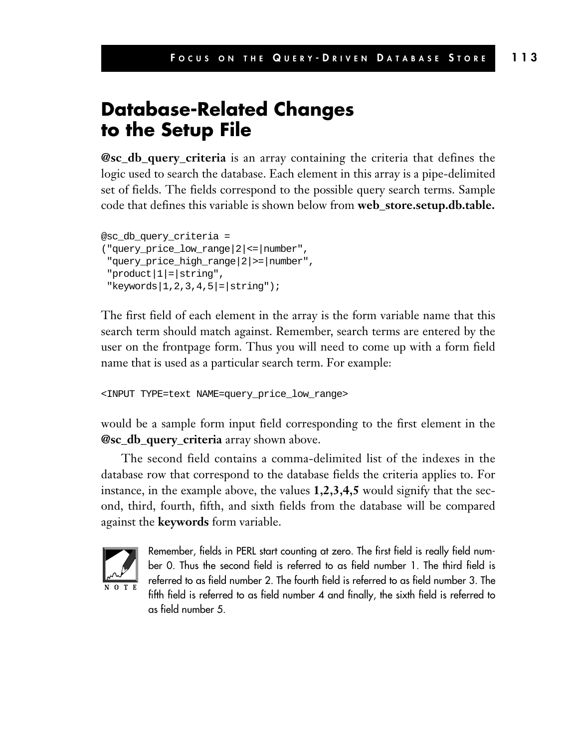#### **Database-Related Changes to the Setup File**

**@sc\_db\_query\_criteria** is an array containing the criteria that defines the logic used to search the database. Each element in this array is a pipe-delimited set of fields. The fields correspond to the possible query search terms. Sample code that defines this variable is shown below from **web\_store.setup.db.table.**

```
@sc_db_query_criteria =
("query_price_low_range|2|<=|number",
 "query_price_high_range|2|>=|number",
 "product|1|=|string",
 "keywords|1,2,3,4,5|=|string");
```
The first field of each element in the array is the form variable name that this search term should match against. Remember, search terms are entered by the user on the frontpage form. Thus you will need to come up with a form field name that is used as a particular search term. For example:

<INPUT TYPE=text NAME=query\_price\_low\_range>

would be a sample form input field corresponding to the first element in the **@sc\_db\_query\_criteria** array shown above.

The second field contains a comma-delimited list of the indexes in the database row that correspond to the database fields the criteria applies to. For instance, in the example above, the values **1,2,3,4,5** would signify that the second, third, fourth, fifth, and sixth fields from the database will be compared against the **keywords** form variable.



Remember, fields in PERL start counting at zero. The first field is really field number 0. Thus the second field is referred to as field number 1. The third field is referred to as field number 2. The fourth field is referred to as field number 3. The fifth field is referred to as field number 4 and finally, the sixth field is referred to as field number 5.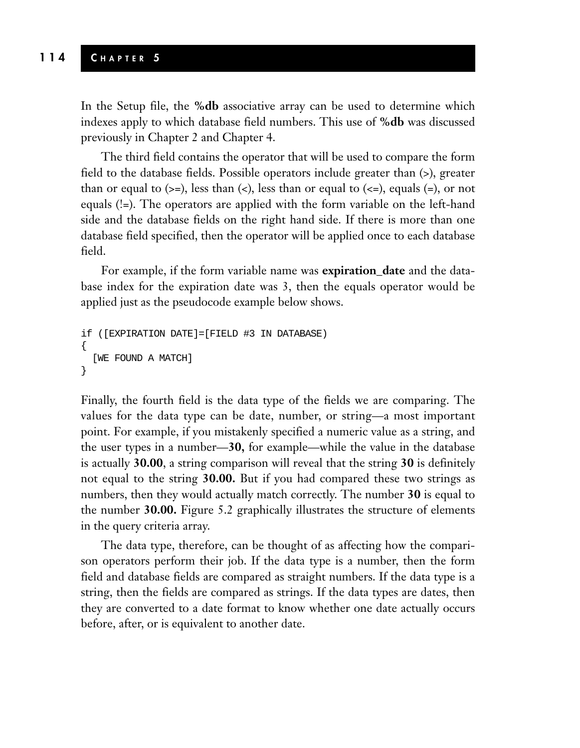In the Setup file, the **%db** associative array can be used to determine which indexes apply to which database field numbers. This use of **%db** was discussed previously in Chapter 2 and Chapter 4.

The third field contains the operator that will be used to compare the form field to the database fields. Possible operators include greater than (>), greater than or equal to  $(\geq)=$ , less than  $(\leq)$ , less than or equal to  $(\leq=)$ , equals  $(=)$ , or not equals (!=). The operators are applied with the form variable on the left-hand side and the database fields on the right hand side. If there is more than one database field specified, then the operator will be applied once to each database field.

For example, if the form variable name was **expiration\_date** and the database index for the expiration date was 3, then the equals operator would be applied just as the pseudocode example below shows.

```
if ([EXPIRATION DATE]=[FIELD #3 IN DATABASE)
{
  [WE FOUND A MATCH]
}
```
Finally, the fourth field is the data type of the fields we are comparing. The values for the data type can be date, number, or string—a most important point. For example, if you mistakenly specified a numeric value as a string, and the user types in a number—**30,** for example—while the value in the database is actually **30.00**, a string comparison will reveal that the string **30** is definitely not equal to the string **30.00.** But if you had compared these two strings as numbers, then they would actually match correctly. The number **30** is equal to the number **30.00.** Figure 5.2 graphically illustrates the structure of elements in the query criteria array.

The data type, therefore, can be thought of as affecting how the comparison operators perform their job. If the data type is a number, then the form field and database fields are compared as straight numbers. If the data type is a string, then the fields are compared as strings. If the data types are dates, then they are converted to a date format to know whether one date actually occurs before, after, or is equivalent to another date.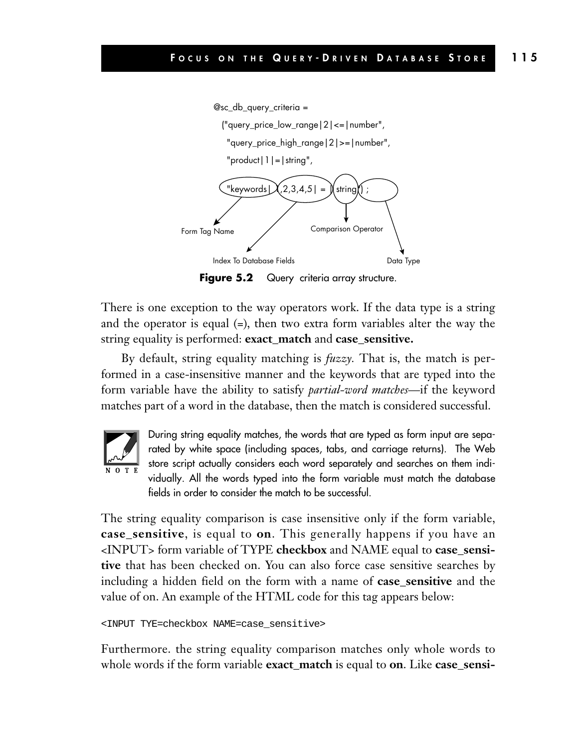

Figure 5.2 Query criteria array structure.

There is one exception to the way operators work. If the data type is a string and the operator is equal  $(=)$ , then two extra form variables alter the way the string equality is performed: **exact\_match** and **case\_sensitive.**

By default, string equality matching is *fuzzy.* That is, the match is performed in a case-insensitive manner and the keywords that are typed into the form variable have the ability to satisfy *partial-word matches*—if the keyword matches part of a word in the database, then the match is considered successful.



During string equality matches, the words that are typed as form input are separated by white space (including spaces, tabs, and carriage returns). The Web store script actually considers each word separately and searches on them individually. All the words typed into the form variable must match the database fields in order to consider the match to be successful.

The string equality comparison is case insensitive only if the form variable, **case\_sensitive**, is equal to **on**. This generally happens if you have an <INPUT> form variable of TYPE **checkbox** and NAME equal to **case\_sensitive** that has been checked on. You can also force case sensitive searches by including a hidden field on the form with a name of **case\_sensitive** and the value of on. An example of the HTML code for this tag appears below:

```
<INPUT TYE=checkbox NAME=case_sensitive>
```
Furthermore. the string equality comparison matches only whole words to whole words if the form variable **exact\_match** is equal to **on**. Like **case\_sensi-**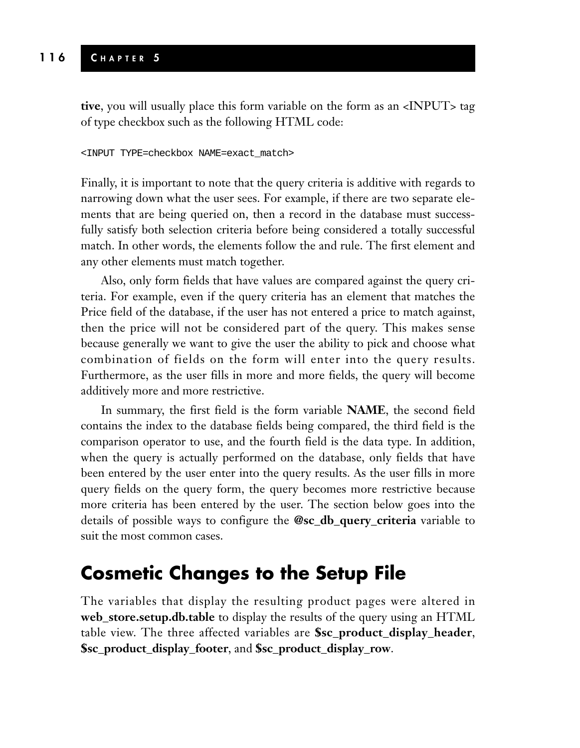#### **116 C HAPTER 5**

**tive**, you will usually place this form variable on the form as an <INPUT> tag of type checkbox such as the following HTML code:

#### <INPUT TYPE=checkbox NAME=exact\_match>

Finally, it is important to note that the query criteria is additive with regards to narrowing down what the user sees. For example, if there are two separate elements that are being queried on, then a record in the database must successfully satisfy both selection criteria before being considered a totally successful match. In other words, the elements follow the and rule. The first element and any other elements must match together.

Also, only form fields that have values are compared against the query criteria. For example, even if the query criteria has an element that matches the Price field of the database, if the user has not entered a price to match against, then the price will not be considered part of the query. This makes sense because generally we want to give the user the ability to pick and choose what combination of fields on the form will enter into the query results. Furthermore, as the user fills in more and more fields, the query will become additively more and more restrictive.

In summary, the first field is the form variable **NAME**, the second field contains the index to the database fields being compared, the third field is the comparison operator to use, and the fourth field is the data type. In addition, when the query is actually performed on the database, only fields that have been entered by the user enter into the query results. As the user fills in more query fields on the query form, the query becomes more restrictive because more criteria has been entered by the user. The section below goes into the details of possible ways to configure the **@sc\_db\_query\_criteria** variable to suit the most common cases.

#### **Cosmetic Changes to the Setup File**

The variables that display the resulting product pages were altered in **web\_store.setup.db.table** to display the results of the query using an HTML table view. The three affected variables are **\$sc\_product\_display\_header**, **\$sc\_product\_display\_footer**, and **\$sc\_product\_display\_row**.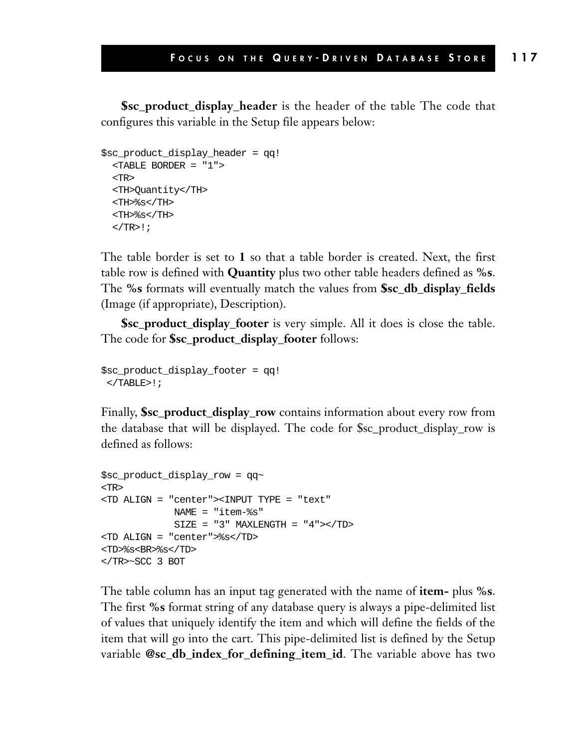**\$sc\_product\_display\_header** is the header of the table The code that configures this variable in the Setup file appears below:

```
$sc_product_display_header = qq!
  <TABLE BORDER = "1">
  <TR>
 <TH>Quantity</TH>
  <TH>%s</TH>
  <TH>%s</TH>
  </TR>!;
```
The table border is set to **1** so that a table border is created. Next, the first table row is defined with **Quantity** plus two other table headers defined as **%s**. The **%s** formats will eventually match the values from **\$sc\_db\_display\_fields** (Image (if appropriate), Description).

**\$sc\_product\_display\_footer** is very simple. All it does is close the table. The code for **\$sc\_product\_display\_footer** follows:

```
$sc_product_display_footer = qq!
</TABLE>!;
```
Finally, **\$sc\_product\_display\_row** contains information about every row from the database that will be displayed. The code for \$sc\_product\_display\_row is defined as follows:

```
$sc_product_display_row = qq~
<TR>
<TD ALIGN = "center"><INPUT TYPE = "text"
            NAME = "item-%s"
            SIZE = "3" MAXLENGTH = "4"><TD><TD ALIGN = "center">%s</TD>
<TD>%s<BR>%s</TD> 
</TR>~SCC 3 BOT
```
The table column has an input tag generated with the name of **item-** plus **%s**. The first **%s** format string of any database query is always a pipe-delimited list of values that uniquely identify the item and which will define the fields of the item that will go into the cart. This pipe-delimited list is defined by the Setup variable **@sc\_db\_index\_for\_defining\_item\_id**. The variable above has two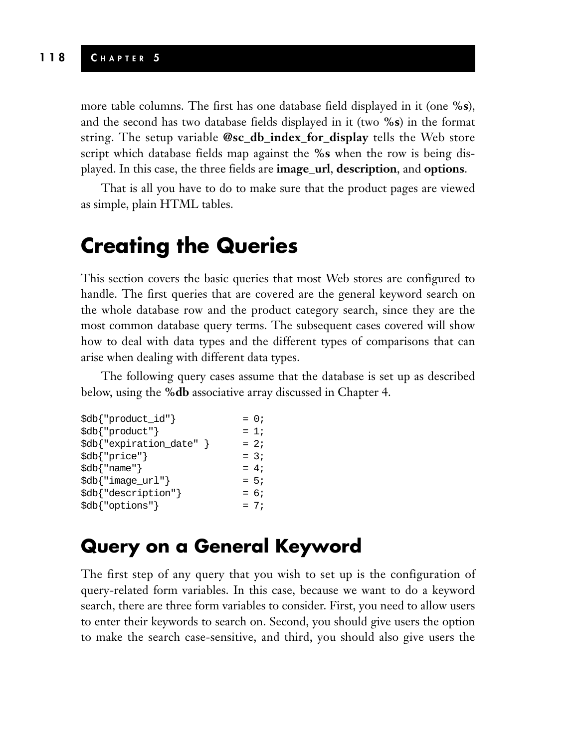#### **118 C HAPTER 5**

more table columns. The first has one database field displayed in it (one **%s**), and the second has two database fields displayed in it (two **%s**) in the format string. The setup variable **@sc\_db\_index\_for\_display** tells the Web store script which database fields map against the **%s** when the row is being displayed. In this case, the three fields are **image\_url**, **description**, and **options**.

That is all you have to do to make sure that the product pages are viewed as simple, plain HTML tables.

# **Creating the Queries**

This section covers the basic queries that most Web stores are configured to handle. The first queries that are covered are the general keyword search on the whole database row and the product category search, since they are the most common database query terms. The subsequent cases covered will show how to deal with data types and the different types of comparisons that can arise when dealing with different data types.

The following query cases assume that the database is set up as described below, using the **%db** associative array discussed in Chapter 4.

| \$db{"product_id"}           | $= 0;$ |
|------------------------------|--------|
| \$db{ "product" }            | $= 1i$ |
| \$db{"expiration_date" }     | $= 2i$ |
| \$db{"price"}                | $= 3i$ |
| $\delta db$ $\{$ "name" $\}$ | $= 4:$ |
| \$db{"image_url"}            | $= 5i$ |
| \$db{"description"}          | $= 6i$ |
| \$db{"options"}              | $= 7i$ |
|                              |        |

#### **Query on a General Keyword**

The first step of any query that you wish to set up is the configuration of query-related form variables. In this case, because we want to do a keyword search, there are three form variables to consider. First, you need to allow users to enter their keywords to search on. Second, you should give users the option to make the search case-sensitive, and third, you should also give users the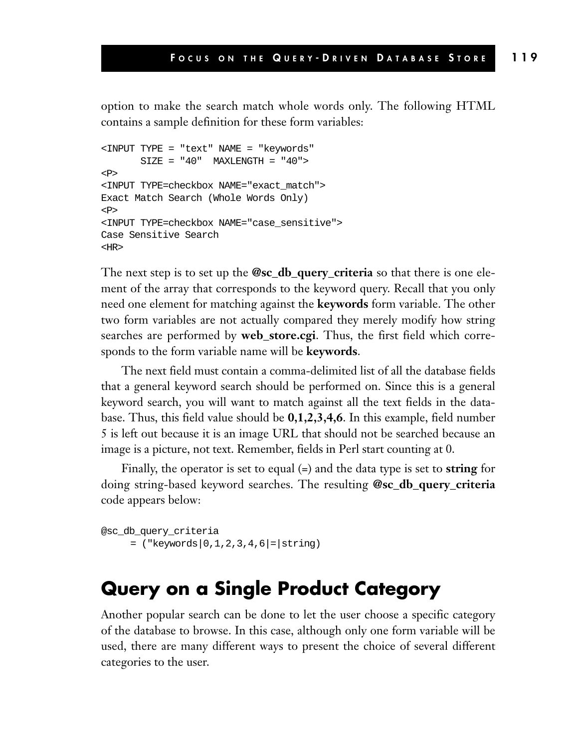option to make the search match whole words only. The following HTML contains a sample definition for these form variables:

```
<INPUT TYPE = "text" NAME = "keywords"
      SIZE = "40" MAXLENGTH = "40">
P<INPUT TYPE=checkbox NAME="exact_match">
Exact Match Search (Whole Words Only)
<P>
<INPUT TYPE=checkbox NAME="case_sensitive">
Case Sensitive Search
<HR>
```
The next step is to set up the **@sc\_db\_query\_criteria** so that there is one element of the array that corresponds to the keyword query. Recall that you only need one element for matching against the **keywords** form variable. The other two form variables are not actually compared they merely modify how string searches are performed by **web\_store.cgi**. Thus, the first field which corresponds to the form variable name will be **keywords**.

The next field must contain a comma-delimited list of all the database fields that a general keyword search should be performed on. Since this is a general keyword search, you will want to match against all the text fields in the database. Thus, this field value should be **0,1,2,3,4,6**. In this example, field number 5 is left out because it is an image URL that should not be searched because an image is a picture, not text. Remember, fields in Perl start counting at 0.

Finally, the operator is set to equal (=) and the data type is set to **string** for doing string-based keyword searches. The resulting **@sc\_db\_query\_criteria** code appears below:

```
@sc_db_query_criteria
     = ("keywords|0,1,2,3,4,6|= |string)
```
#### **Query on a Single Product Category**

Another popular search can be done to let the user choose a specific category of the database to browse. In this case, although only one form variable will be used, there are many different ways to present the choice of several different categories to the user.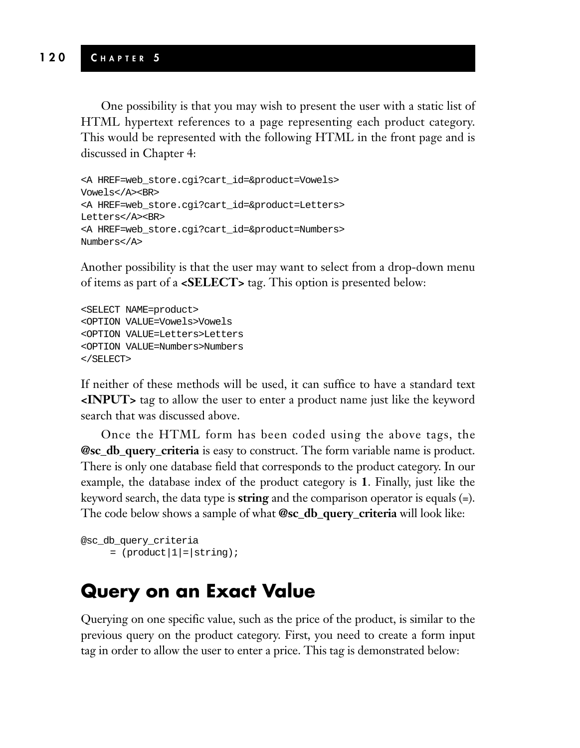One possibility is that you may wish to present the user with a static list of HTML hypertext references to a page representing each product category. This would be represented with the following HTML in the front page and is discussed in Chapter 4:

```
<A HREF=web_store.cgi?cart_id=&product=Vowels>
Vowels</A><BR>
<A HREF=web_store.cgi?cart_id=&product=Letters>
Letters</A><BR>
<A HREF=web_store.cgi?cart_id=&product=Numbers>
Numbers</A>
```
Another possibility is that the user may want to select from a drop-down menu of items as part of a **<SELECT>** tag. This option is presented below:

```
<SELECT NAME=product>
<OPTION VALUE=Vowels>Vowels
<OPTION VALUE=Letters>Letters
<OPTION VALUE=Numbers>Numbers
</SELECT>
```
If neither of these methods will be used, it can suffice to have a standard text **<INPUT>** tag to allow the user to enter a product name just like the keyword search that was discussed above.

Once the HTML form has been coded using the above tags, the **@sc\_db\_query\_criteria** is easy to construct. The form variable name is product. There is only one database field that corresponds to the product category. In our example, the database index of the product category is **1**. Finally, just like the keyword search, the data type is **string** and the comparison operator is equals (=). The code below shows a sample of what **@sc\_db\_query\_criteria** will look like:

```
@sc_db_query_criteria
     = (product |1| = | string);
```
#### **Query on an Exact Value**

Querying on one specific value, such as the price of the product, is similar to the previous query on the product category. First, you need to create a form input tag in order to allow the user to enter a price. This tag is demonstrated below: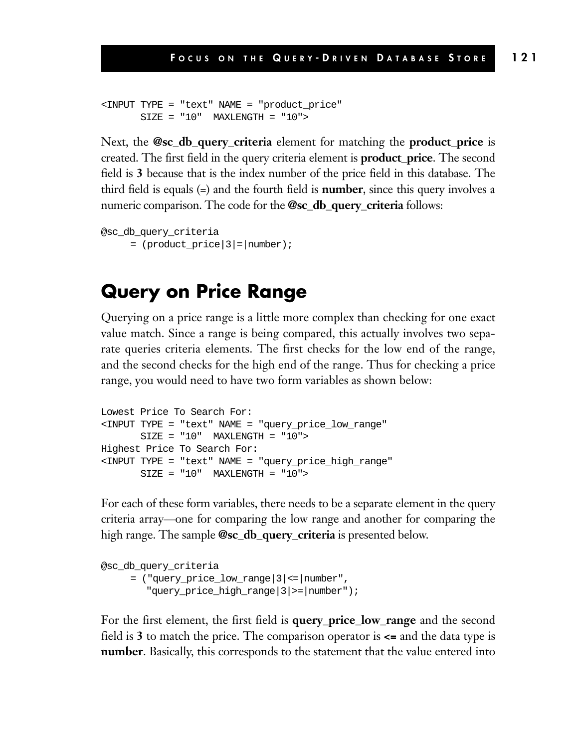```
<INPUT TYPE = "text" NAME = "product_price"
      SIZE = "10" MAXLENGTH = "10"
```
Next, the **@sc\_db\_query\_criteria** element for matching the **product\_price** is created. The first field in the query criteria element is **product\_price**. The second field is **3** because that is the index number of the price field in this database. The third field is equals (=) and the fourth field is **number**, since this query involves a numeric comparison. The code for the **@sc\_db\_query\_criteria** follows:

```
@sc_db_query_criteria
      = (product_price | 3 | = | number);
```
#### **Query on Price Range**

Querying on a price range is a little more complex than checking for one exact value match. Since a range is being compared, this actually involves two separate queries criteria elements. The first checks for the low end of the range, and the second checks for the high end of the range. Thus for checking a price range, you would need to have two form variables as shown below:

```
Lowest Price To Search For:
<INPUT TYPE = "text" NAME = "query_price_low_range"
      SIZE = "10" MAXLENGTH = "10">
Highest Price To Search For:
<INPUT TYPE = "text" NAME = "query_price_high_range"
      SIZE = "10" MAXLENGTH = "10"
```
For each of these form variables, there needs to be a separate element in the query criteria array—one for comparing the low range and another for comparing the high range. The sample **@sc\_db\_query\_criteria** is presented below.

```
@sc_db_query_criteria
     = ("query price low range|3|<=|number",
        "query_price_high_range|3|>=|number");
```
For the first element, the first field is **query\_price\_low\_range** and the second field is **3** to match the price. The comparison operator is  $\leq$  and the data type is **number**. Basically, this corresponds to the statement that the value entered into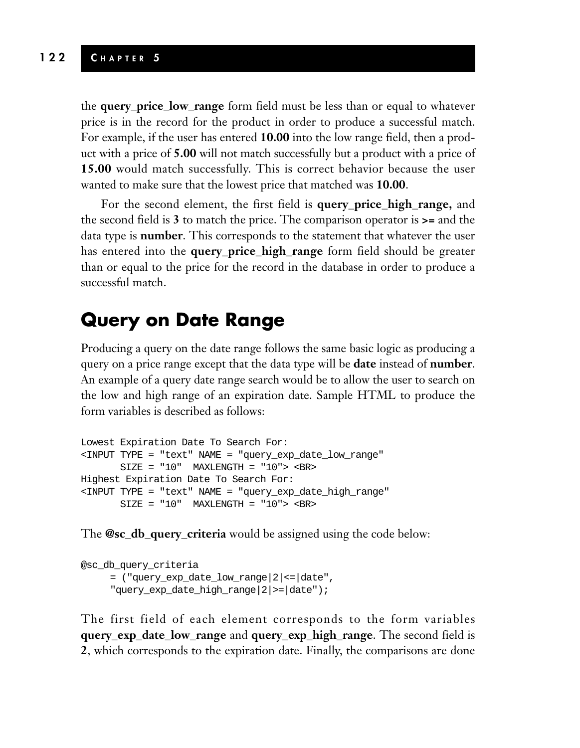#### **122 C HAPTER 5**

the **query\_price\_low\_range** form field must be less than or equal to whatever price is in the record for the product in order to produce a successful match. For example, if the user has entered **10.00** into the low range field, then a product with a price of **5.00** will not match successfully but a product with a price of **15.00** would match successfully. This is correct behavior because the user wanted to make sure that the lowest price that matched was **10.00**.

For the second element, the first field is **query\_price\_high\_range,** and the second field is **3** to match the price. The comparison operator is **>=** and the data type is **number**. This corresponds to the statement that whatever the user has entered into the **query\_price\_high\_range** form field should be greater than or equal to the price for the record in the database in order to produce a successful match.

#### **Query on Date Range**

Producing a query on the date range follows the same basic logic as producing a query on a price range except that the data type will be **date** instead of **number**. An example of a query date range search would be to allow the user to search on the low and high range of an expiration date. Sample HTML to produce the form variables is described as follows:

```
Lowest Expiration Date To Search For:
<INPUT TYPE = "text" NAME = "query_exp_date_low_range"
      SIZE = "10" MAXLENGTH = "10" > <B>RHighest Expiration Date To Search For:
<INPUT TYPE = "text" NAME = "query_exp_date_high_range"
       SIZE = "10" MAXLENGTH = "10" > <b>BR</b>
```
The **@sc\_db\_query\_criteria** would be assigned using the code below:

```
@sc_db_query_criteria
     = ("query_exp_date_low_range|2|<=|date",
     "query_exp_date_high_range|2|>=|date");
```
The first field of each element corresponds to the form variables **query\_exp\_date\_low\_range** and **query\_exp\_high\_range**. The second field is **2**, which corresponds to the expiration date. Finally, the comparisons are done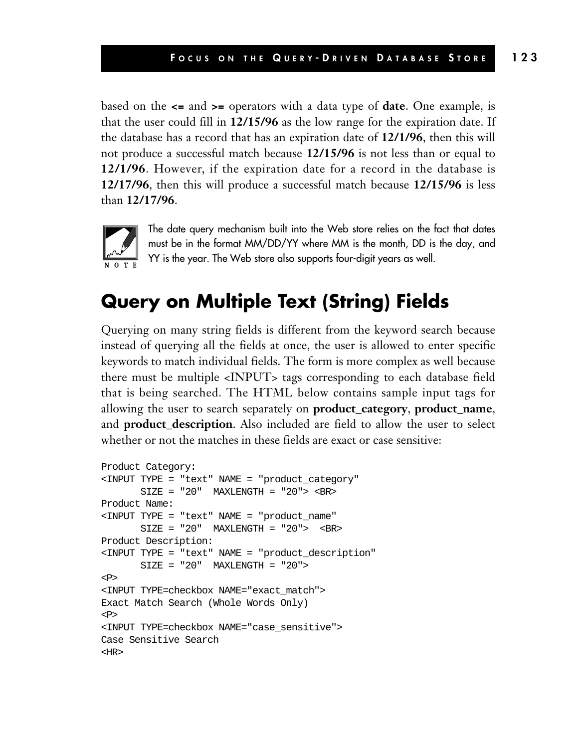based on the **<=** and **>=** operators with a data type of **date**. One example, is that the user could fill in **12/15/96** as the low range for the expiration date. If the database has a record that has an expiration date of **12/1/96**, then this will not produce a successful match because **12/15/96** is not less than or equal to **12/1/96**. However, if the expiration date for a record in the database is **12/17/96**, then this will produce a successful match because **12/15/96** is less than **12/17/96**.



The date query mechanism built into the Web store relies on the fact that dates must be in the format MM/DD/YY where MM is the month, DD is the day, and YY is the year. The Web store also supports four-digit years as well.

## **Query on Multiple Text (String) Fields**

Querying on many string fields is different from the keyword search because instead of querying all the fields at once, the user is allowed to enter specific keywords to match individual fields. The form is more complex as well because there must be multiple <INPUT> tags corresponding to each database field that is being searched. The HTML below contains sample input tags for allowing the user to search separately on **product\_category**, **product\_name**, and **product description**. Also included are field to allow the user to select whether or not the matches in these fields are exact or case sensitive:

```
Product Category:
<INPUT TYPE = "text" NAME = "product_category"
      SIZE = "20" MAXLENGTH = "20"> <BR>
Product Name:
<INPUT TYPE = "text" NAME = "product_name"
      SIZE = "20" MAXLENGTH = "20" > <b>ERS</b>Product Description:
<INPUT TYPE = "text" NAME = "product_description"
      SIZE = "20" MAXLENGTH = "20"P<INPUT TYPE=checkbox NAME="exact_match">
Exact Match Search (Whole Words Only)
P<INPUT TYPE=checkbox NAME="case_sensitive">
Case Sensitive Search
<HR>
```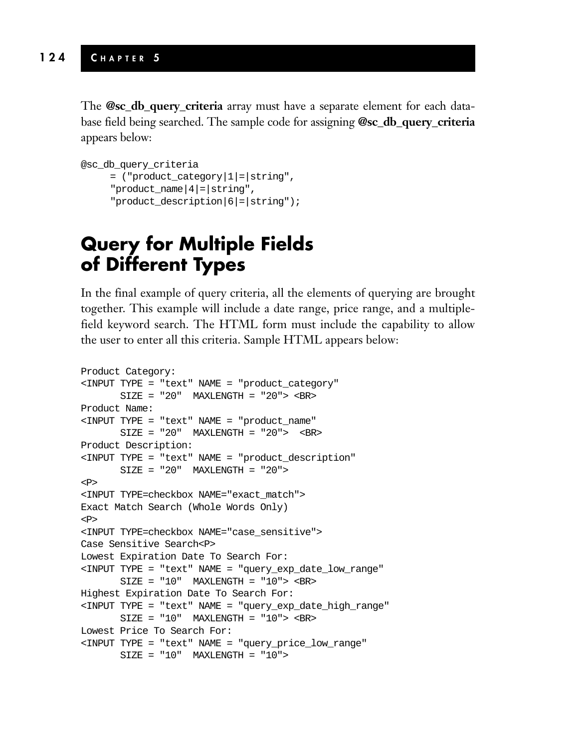The **@sc\_db\_query\_criteria** array must have a separate element for each database field being searched. The sample code for assigning **@sc\_db\_query\_criteria** appears below:

```
@sc_db_query_criteria
     = ("product_category|1|=|string",
     "product_name|4|=|string",
     "product_description|6|=|string");
```
## **Query for Multiple Fields of Different Types**

In the final example of query criteria, all the elements of querying are brought together. This example will include a date range, price range, and a multiplefield keyword search. The HTML form must include the capability to allow the user to enter all this criteria. Sample HTML appears below:

```
Product Category:
<INPUT TYPE = "text" NAME = "product_category"
      SIZE = "20" MAXLENGTH = "20"> <BR>
Product Name:
<INPUT TYPE = "text" NAME = "product_name"
      SIZE = "20" MAXLENGTH = "20"> <BR>
Product Description:
<INPUT TYPE = "text" NAME = "product_description"
      SIZE = "20" MAXLENGTH = "20">
<P>
<INPUT TYPE=checkbox NAME="exact_match">
Exact Match Search (Whole Words Only)
<P>
<INPUT TYPE=checkbox NAME="case_sensitive">
Case Sensitive Search<P>
Lowest Expiration Date To Search For:
<INPUT TYPE = "text" NAME = "query_exp_date_low_range"
      SIZE = "10" MAXLENGTH = "10" > <b>BR</b>Highest Expiration Date To Search For:
<INPUT TYPE = "text" NAME = "query_exp_date_high_range"
       SIZE = "10" MAXLENGTH = "10" > <b>BR</b>Lowest Price To Search For:
<INPUT TYPE = "text" NAME = "query_price_low_range"
       SIZE = "10" MAXLENGTH = "10"
```